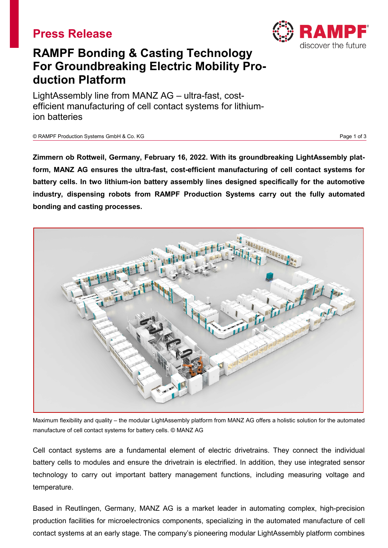# **Press Release**



# **RAMPF Bonding & Casting Technology For Groundbreaking Electric Mobility Production Platform**

LightAssembly line from MANZ AG – ultra-fast, costefficient manufacturing of cell contact systems for lithiumion batteries

© RAMPF Production Systems GmbH & Co. KG Page 1 of 3

**Zimmern ob Rottweil, Germany, February 16, 2022. With its groundbreaking LightAssembly platform, MANZ AG ensures the ultra-fast, cost-efficient manufacturing of cell contact systems for battery cells. In two lithium-ion battery assembly lines designed specifically for the automotive industry, dispensing robots from RAMPF Production Systems carry out the fully automated bonding and casting processes.**



Maximum flexibility and quality – the modular LightAssembly platform from MANZ AG offers a holistic solution for the automated manufacture of cell contact systems for battery cells. © MANZ AG

Cell contact systems are a fundamental element of electric drivetrains. They connect the individual battery cells to modules and ensure the drivetrain is electrified. In addition, they use integrated sensor technology to carry out important battery management functions, including measuring voltage and temperature.

Based in Reutlingen, Germany, MANZ AG is a market leader in automating complex, high-precision production facilities for microelectronics components, specializing in the automated manufacture of cell contact systems at an early stage. The company's pioneering modular LightAssembly platform combines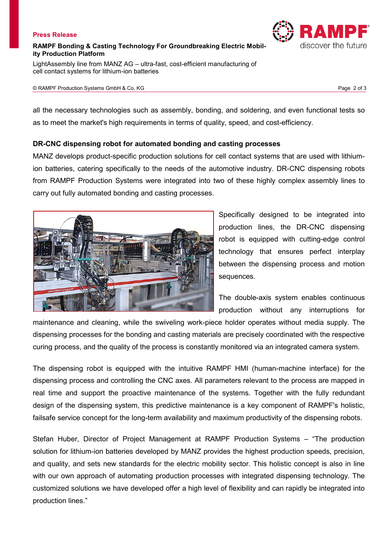## **Press Release**

# **RAMPF Bonding & Casting Technology For Groundbreaking Electric Mobility Production Platform**

LightAssembly line from MANZ AG – ultra-fast, cost-efficient manufacturing of cell contact systems for lithium-ion batteries

#### © RAMPF Production Systems GmbH & Co. KG Page 2 of 3

all the necessary technologies such as assembly, bonding, and soldering, and even functional tests so as to meet the market's high requirements in terms of quality, speed, and cost-efficiency.

# **DR-CNC dispensing robot for automated bonding and casting processes**

MANZ develops product-specific production solutions for cell contact systems that are used with lithiumion batteries, catering specifically to the needs of the automotive industry. DR-CNC dispensing robots from RAMPF Production Systems were integrated into two of these highly complex assembly lines to carry out fully automated bonding and casting processes.



Specifically designed to be integrated into production lines, the DR-CNC dispensing robot is equipped with cutting-edge control technology that ensures perfect interplay between the dispensing process and motion sequences.

The double-axis system enables continuous production without any interruptions for

maintenance and cleaning, while the swiveling work-piece holder operates without media supply. The dispensing processes for the bonding and casting materials are precisely coordinated with the respective curing process, and the quality of the process is constantly monitored via an integrated camera system.

The dispensing robot is equipped with the intuitive RAMPF HMI (human-machine interface) for the dispensing process and controlling the CNC axes. All parameters relevant to the process are mapped in real time and support the proactive maintenance of the systems. Together with the fully redundant design of the dispensing system, this predictive maintenance is a key component of RAMPF's holistic, failsafe service concept for the long-term availability and maximum productivity of the dispensing robots.

Stefan Huber, Director of Project Management at RAMPF Production Systems – "The production solution for lithium-ion batteries developed by MANZ provides the highest production speeds, precision, and quality, and sets new standards for the electric mobility sector. This holistic concept is also in line with our own approach of automating production processes with integrated dispensing technology. The customized solutions we have developed offer a high level of flexibility and can rapidly be integrated into production lines."